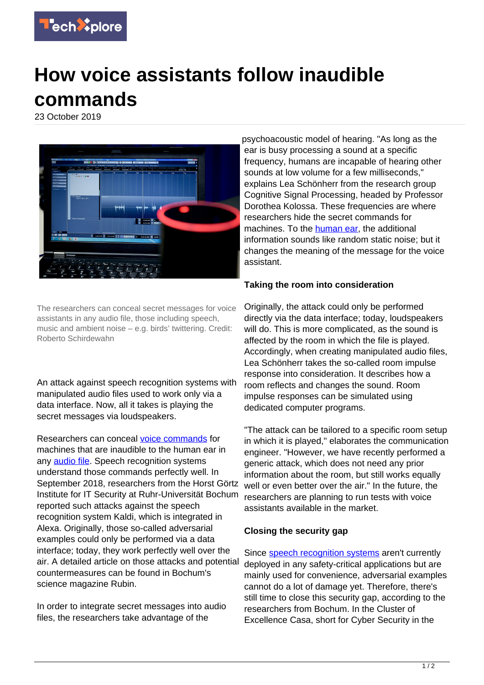

## **How voice assistants follow inaudible commands**

23 October 2019



The researchers can conceal secret messages for voice assistants in any audio file, those including speech, music and ambient noise – e.g. birds' twittering. Credit: Roberto Schirdewahn

An attack against speech recognition systems with manipulated audio files used to work only via a data interface. Now, all it takes is playing the secret messages via loudspeakers.

Researchers can conceal [voice commands](https://techxplore.com/tags/voice+commands/) for machines that are inaudible to the human ear in any [audio file](https://techxplore.com/tags/audio+file/). Speech recognition systems understand those commands perfectly well. In September 2018, researchers from the Horst Görtz Institute for IT Security at Ruhr-Universität Bochum reported such attacks against the speech recognition system Kaldi, which is integrated in Alexa. Originally, those so-called adversarial examples could only be performed via a data interface; today, they work perfectly well over the air. A detailed article on those attacks and potential countermeasures can be found in Bochum's science magazine Rubin.

In order to integrate secret messages into audio files, the researchers take advantage of the

psychoacoustic model of hearing. "As long as the ear is busy processing a sound at a specific frequency, humans are incapable of hearing other sounds at low volume for a few milliseconds," explains Lea Schönherr from the research group Cognitive Signal Processing, headed by Professor Dorothea Kolossa. These frequencies are where researchers hide the secret commands for machines. To the [human ear](https://techxplore.com/tags/human+ear/), the additional information sounds like random static noise; but it changes the meaning of the message for the voice assistant.

## **Taking the room into consideration**

Originally, the attack could only be performed directly via the data interface; today, loudspeakers will do. This is more complicated, as the sound is affected by the room in which the file is played. Accordingly, when creating manipulated audio files, Lea Schönherr takes the so-called room impulse response into consideration. It describes how a room reflects and changes the sound. Room impulse responses can be simulated using dedicated computer programs.

"The attack can be tailored to a specific room setup in which it is played," elaborates the communication engineer. "However, we have recently performed a generic attack, which does not need any prior information about the room, but still works equally well or even better over the air." In the future, the researchers are planning to run tests with voice assistants available in the market.

## **Closing the security gap**

Since [speech recognition systems](https://techxplore.com/tags/speech+recognition+systems/) aren't currently deployed in any safety-critical applications but are mainly used for convenience, adversarial examples cannot do a lot of damage yet. Therefore, there's still time to close this security gap, according to the researchers from Bochum. In the Cluster of Excellence Casa, short for Cyber Security in the